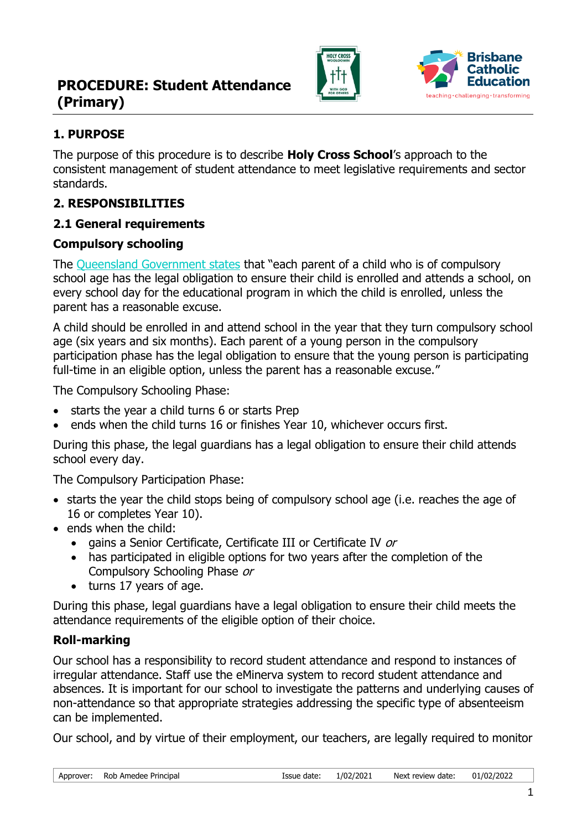



### **1. PURPOSE**

The purpose of this procedure is to describe **Holy Cross School**'s approach to the consistent management of student attendance to meet legislative requirements and sector standards.

### **2. RESPONSIBILITIES**

### **2.1 General requirements**

#### **Compulsory schooling**

The [Queensland Government states](http://ppr.det.qld.gov.au/education/management/Pages/Managing-Student-Absences-and-Enforcing-Enrolment-and-Attendance-at-State-Schools.aspx) that "each parent of a child who is of compulsory school age has the legal obligation to ensure their child is enrolled and attends a school, on every school day for the educational program in which the child is enrolled, unless the parent has a reasonable excuse.

A child should be enrolled in and attend school in the year that they turn compulsory school age (six years and six months). Each parent of a young person in the compulsory participation phase has the legal obligation to ensure that the young person is participating full-time in an eligible option, unless the parent has a reasonable excuse."

The Compulsory Schooling Phase:

- starts the year a child turns 6 or starts Prep
- ends when the child turns 16 or finishes Year 10, whichever occurs first.

During this phase, the legal guardians has a legal obligation to ensure their child attends school every day.

The Compulsory Participation Phase:

- starts the year the child stops being of compulsory school age (i.e. reaches the age of 16 or completes Year 10).
- ends when the child:
	- gains a Senior Certificate, Certificate III or Certificate IV or
	- has participated in eligible options for two years after the completion of the Compulsory Schooling Phase or
	- turns 17 years of age.

During this phase, legal guardians have a legal obligation to ensure their child meets the attendance requirements of the eligible option of their choice.

### **Roll-marking**

Our school has a responsibility to record student attendance and respond to instances of irregular attendance. Staff use the eMinerva system to record student attendance and absences. It is important for our school to investigate the patterns and underlying causes of non-attendance so that appropriate strategies addressing the specific type of absenteeism can be implemented.

Our school, and by virtue of their employment, our teachers, are legally required to monitor

| Approver: Rob Amedee Principal | Issue date: | 1/02/2021 | Next review date: 01/02/2022 |  |
|--------------------------------|-------------|-----------|------------------------------|--|
|                                |             |           |                              |  |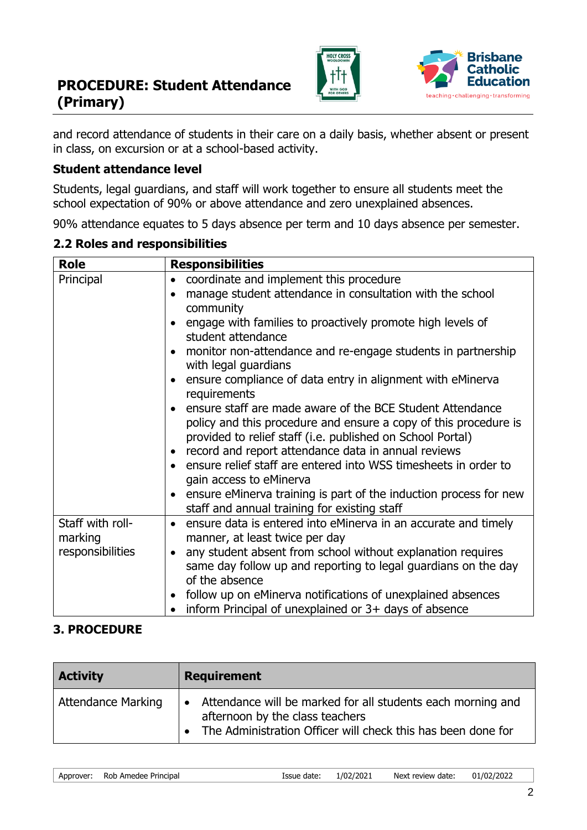



and record attendance of students in their care on a daily basis, whether absent or present in class, on excursion or at a school-based activity.

#### **Student attendance level**

Students, legal guardians, and staff will work together to ensure all students meet the school expectation of 90% or above attendance and zero unexplained absences.

90% attendance equates to 5 days absence per term and 10 days absence per semester.

| <b>Role</b>                                     | <b>Responsibilities</b>                                                                                                                                                                                                                                                                                                                                                                                                                                                                                                                                                                                                                                                                                                                                                                                                                 |
|-------------------------------------------------|-----------------------------------------------------------------------------------------------------------------------------------------------------------------------------------------------------------------------------------------------------------------------------------------------------------------------------------------------------------------------------------------------------------------------------------------------------------------------------------------------------------------------------------------------------------------------------------------------------------------------------------------------------------------------------------------------------------------------------------------------------------------------------------------------------------------------------------------|
| Principal                                       | coordinate and implement this procedure<br>$\bullet$<br>manage student attendance in consultation with the school<br>$\bullet$<br>community<br>engage with families to proactively promote high levels of<br>$\bullet$<br>student attendance<br>monitor non-attendance and re-engage students in partnership<br>$\bullet$<br>with legal guardians<br>ensure compliance of data entry in alignment with eMinerva<br>$\bullet$<br>requirements<br>ensure staff are made aware of the BCE Student Attendance<br>$\bullet$<br>policy and this procedure and ensure a copy of this procedure is<br>provided to relief staff (i.e. published on School Portal)<br>record and report attendance data in annual reviews<br>$\bullet$<br>ensure relief staff are entered into WSS timesheets in order to<br>$\bullet$<br>gain access to eMinerva |
|                                                 | ensure eMinerva training is part of the induction process for new<br>$\bullet$<br>staff and annual training for existing staff                                                                                                                                                                                                                                                                                                                                                                                                                                                                                                                                                                                                                                                                                                          |
| Staff with roll-<br>marking<br>responsibilities | ensure data is entered into eMinerva in an accurate and timely<br>$\bullet$<br>manner, at least twice per day<br>any student absent from school without explanation requires<br>$\bullet$<br>same day follow up and reporting to legal guardians on the day<br>of the absence<br>follow up on eMinerva notifications of unexplained absences<br>٠<br>inform Principal of unexplained or $3+$ days of absence                                                                                                                                                                                                                                                                                                                                                                                                                            |

### **3. PROCEDURE**

| <b>Activity</b>           | <b>Requirement</b>                                                                                                                                               |
|---------------------------|------------------------------------------------------------------------------------------------------------------------------------------------------------------|
| <b>Attendance Marking</b> | Attendance will be marked for all students each morning and<br>afternoon by the class teachers<br>• The Administration Officer will check this has been done for |

Approver: Rob Amedee Principal Issue date: 1/02/2021 Next review date: 01/02/2022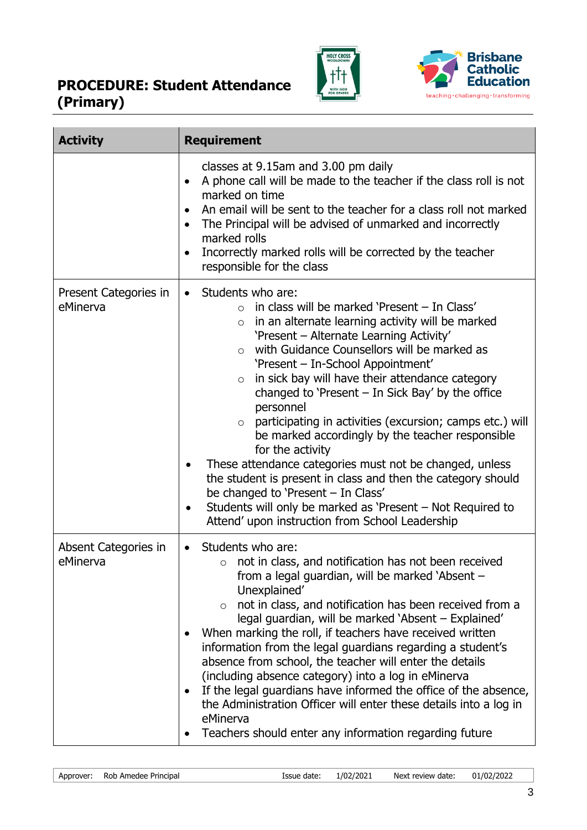



| <b>Activity</b>                   | <b>Requirement</b>                                                                                                                                                                                                                                                                                                                                                                                                                                                                                                                                                                                                                                                                                                                                                                                                                                                     |  |
|-----------------------------------|------------------------------------------------------------------------------------------------------------------------------------------------------------------------------------------------------------------------------------------------------------------------------------------------------------------------------------------------------------------------------------------------------------------------------------------------------------------------------------------------------------------------------------------------------------------------------------------------------------------------------------------------------------------------------------------------------------------------------------------------------------------------------------------------------------------------------------------------------------------------|--|
|                                   | classes at 9.15am and 3.00 pm daily<br>A phone call will be made to the teacher if the class roll is not<br>marked on time<br>An email will be sent to the teacher for a class roll not marked<br>The Principal will be advised of unmarked and incorrectly<br>marked rolls<br>Incorrectly marked rolls will be corrected by the teacher<br>responsible for the class                                                                                                                                                                                                                                                                                                                                                                                                                                                                                                  |  |
| Present Categories in<br>eMinerva | Students who are:<br>$\bullet$<br>in class will be marked 'Present - In Class'<br>$\circ$<br>in an alternate learning activity will be marked<br>$\circ$<br>'Present - Alternate Learning Activity'<br>with Guidance Counsellors will be marked as<br>$\circ$<br>'Present - In-School Appointment'<br>in sick bay will have their attendance category<br>$\circ$<br>changed to 'Present $-$ In Sick Bay' by the office<br>personnel<br>participating in activities (excursion; camps etc.) will<br>be marked accordingly by the teacher responsible<br>for the activity<br>These attendance categories must not be changed, unless<br>the student is present in class and then the category should<br>be changed to 'Present - In Class'<br>Students will only be marked as 'Present – Not Required to<br>$\bullet$<br>Attend' upon instruction from School Leadership |  |
| Absent Categories in<br>eMinerva  | Students who are:<br>not in class, and notification has not been received<br>from a legal guardian, will be marked 'Absent<br>Unexplained'<br>not in class, and notification has been received from a<br>$\circ$<br>legal guardian, will be marked 'Absent – Explained'<br>When marking the roll, if teachers have received written<br>information from the legal guardians regarding a student's<br>absence from school, the teacher will enter the details<br>(including absence category) into a log in eMinerva<br>If the legal guardians have informed the office of the absence,<br>the Administration Officer will enter these details into a log in<br>eMinerva<br>Teachers should enter any information regarding future                                                                                                                                      |  |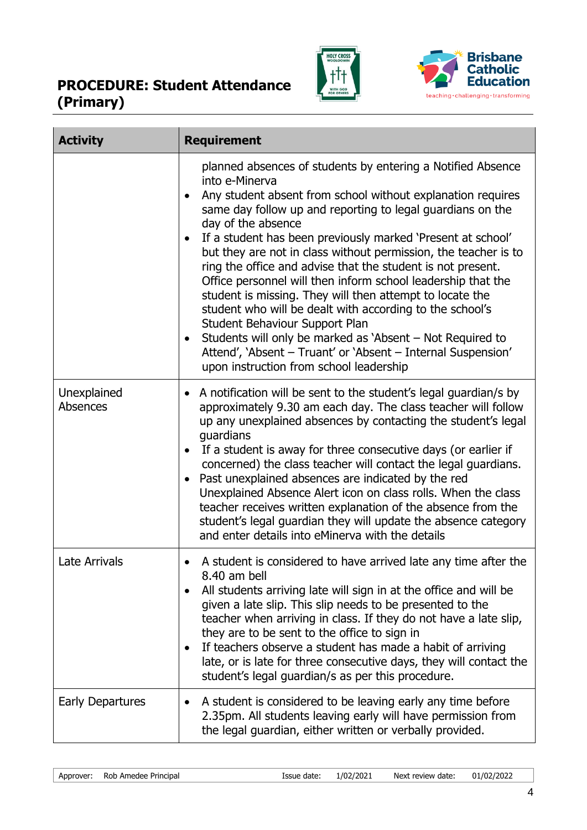



| <b>Activity</b>         | <b>Requirement</b>                                                                                                                                                                                                                                                                                                                                                                                                                                                                                                                                                                                                                                                                                                                                                                                                                               |
|-------------------------|--------------------------------------------------------------------------------------------------------------------------------------------------------------------------------------------------------------------------------------------------------------------------------------------------------------------------------------------------------------------------------------------------------------------------------------------------------------------------------------------------------------------------------------------------------------------------------------------------------------------------------------------------------------------------------------------------------------------------------------------------------------------------------------------------------------------------------------------------|
|                         | planned absences of students by entering a Notified Absence<br>into e-Minerva<br>Any student absent from school without explanation requires<br>same day follow up and reporting to legal guardians on the<br>day of the absence<br>If a student has been previously marked 'Present at school'<br>but they are not in class without permission, the teacher is to<br>ring the office and advise that the student is not present.<br>Office personnel will then inform school leadership that the<br>student is missing. They will then attempt to locate the<br>student who will be dealt with according to the school's<br>Student Behaviour Support Plan<br>Students will only be marked as 'Absent – Not Required to<br>$\bullet$<br>Attend', 'Absent - Truant' or 'Absent - Internal Suspension'<br>upon instruction from school leadership |
| Unexplained<br>Absences | • A notification will be sent to the student's legal guardian/s by<br>approximately 9.30 am each day. The class teacher will follow<br>up any unexplained absences by contacting the student's legal<br>guardians<br>If a student is away for three consecutive days (or earlier if<br>$\bullet$<br>concerned) the class teacher will contact the legal guardians.<br>Past unexplained absences are indicated by the red<br>$\bullet$<br>Unexplained Absence Alert icon on class rolls. When the class<br>teacher receives written explanation of the absence from the<br>student's legal guardian they will update the absence category<br>and enter details into eMinerva with the details                                                                                                                                                     |
| <b>Late Arrivals</b>    | A student is considered to have arrived late any time after the<br>$\bullet$<br>8.40 am bell<br>All students arriving late will sign in at the office and will be<br>$\bullet$<br>given a late slip. This slip needs to be presented to the<br>teacher when arriving in class. If they do not have a late slip,<br>they are to be sent to the office to sign in<br>If teachers observe a student has made a habit of arriving<br>late, or is late for three consecutive days, they will contact the<br>student's legal guardian/s as per this procedure.                                                                                                                                                                                                                                                                                         |
| <b>Early Departures</b> | A student is considered to be leaving early any time before<br>2.35pm. All students leaving early will have permission from<br>the legal guardian, either written or verbally provided.                                                                                                                                                                                                                                                                                                                                                                                                                                                                                                                                                                                                                                                          |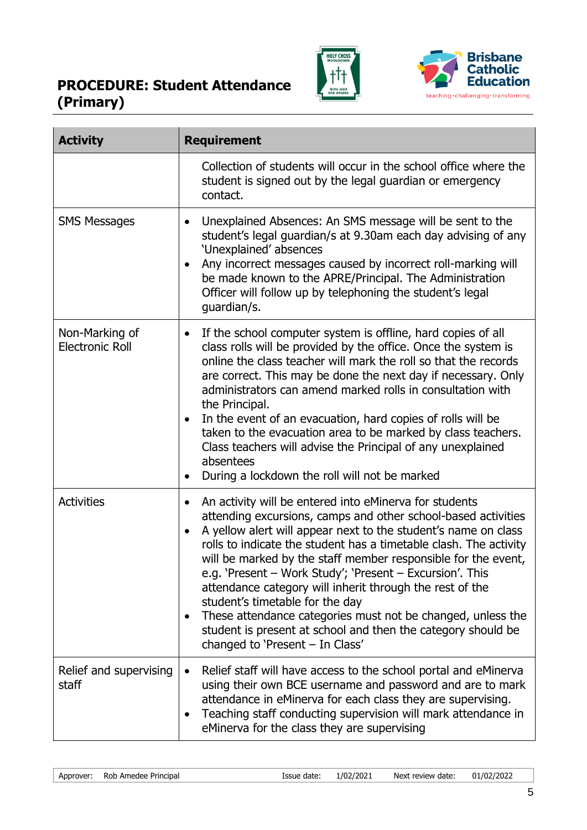



۰

| <b>Activity</b>                          | <b>Requirement</b>                                                                                                                                                                                                                                                                                                                                                                                                                                                                                                                                                                                                                                                                     |
|------------------------------------------|----------------------------------------------------------------------------------------------------------------------------------------------------------------------------------------------------------------------------------------------------------------------------------------------------------------------------------------------------------------------------------------------------------------------------------------------------------------------------------------------------------------------------------------------------------------------------------------------------------------------------------------------------------------------------------------|
|                                          | Collection of students will occur in the school office where the<br>student is signed out by the legal guardian or emergency<br>contact.                                                                                                                                                                                                                                                                                                                                                                                                                                                                                                                                               |
| <b>SMS Messages</b>                      | Unexplained Absences: An SMS message will be sent to the<br>student's legal guardian/s at 9.30am each day advising of any<br>'Unexplained' absences<br>Any incorrect messages caused by incorrect roll-marking will<br>be made known to the APRE/Principal. The Administration<br>Officer will follow up by telephoning the student's legal<br>guardian/s.                                                                                                                                                                                                                                                                                                                             |
| Non-Marking of<br><b>Electronic Roll</b> | If the school computer system is offline, hard copies of all<br>$\bullet$<br>class rolls will be provided by the office. Once the system is<br>online the class teacher will mark the roll so that the records<br>are correct. This may be done the next day if necessary. Only<br>administrators can amend marked rolls in consultation with<br>the Principal.<br>In the event of an evacuation, hard copies of rolls will be<br>$\bullet$<br>taken to the evacuation area to be marked by class teachers.<br>Class teachers will advise the Principal of any unexplained<br>absentees<br>During a lockdown the roll will not be marked                                               |
| <b>Activities</b>                        | An activity will be entered into eMinerva for students<br>$\bullet$<br>attending excursions, camps and other school-based activities<br>A yellow alert will appear next to the student's name on class<br>$\bullet$<br>rolls to indicate the student has a timetable clash. The activity<br>will be marked by the staff member responsible for the event,<br>e.g. 'Present - Work Study'; 'Present - Excursion'. This<br>attendance category will inherit through the rest of the<br>student's timetable for the day<br>These attendance categories must not be changed, unless the<br>student is present at school and then the category should be<br>changed to 'Present - In Class' |
| Relief and supervising<br>staff          | Relief staff will have access to the school portal and eMinerva<br>using their own BCE username and password and are to mark<br>attendance in eMinerva for each class they are supervising.<br>Teaching staff conducting supervision will mark attendance in<br>$\bullet$<br>eMinerva for the class they are supervising                                                                                                                                                                                                                                                                                                                                                               |

Approver: Rob Amedee Principal **Issue date:** 1/02/2021 Next review date: 01/02/2022